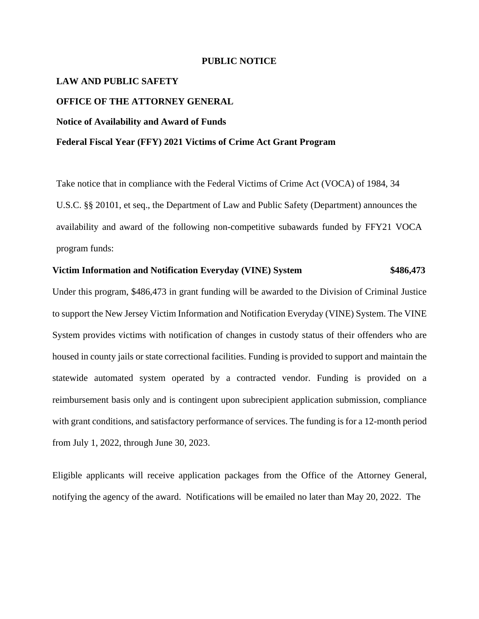#### **PUBLIC NOTICE**

# **LAW AND PUBLIC SAFETY**

### **OFFICE OF THE ATTORNEY GENERAL**

### **Notice of Availability and Award of Funds**

#### **Federal Fiscal Year (FFY) 2021 Victims of Crime Act Grant Program**

Take notice that in compliance with the Federal Victims of Crime Act (VOCA) of 1984, 34 U.S.C. §§ 20101, et seq., the Department of Law and Public Safety (Department) announces the availability and award of the following non-competitive subawards funded by FFY21 VOCA program funds:

## **Victim Information and Notification Everyday (VINE) System \$486,473**

Under this program, \$486,473 in grant funding will be awarded to the Division of Criminal Justice to support the New Jersey Victim Information and Notification Everyday (VINE) System. The VINE System provides victims with notification of changes in custody status of their offenders who are housed in county jails or state correctional facilities. Funding is provided to support and maintain the statewide automated system operated by a contracted vendor. Funding is provided on a reimbursement basis only and is contingent upon subrecipient application submission, compliance with grant conditions, and satisfactory performance of services. The funding is for a 12-month period from July 1, 2022, through June 30, 2023.

Eligible applicants will receive application packages from the Office of the Attorney General, notifying the agency of the award. Notifications will be emailed no later than May 20, 2022. The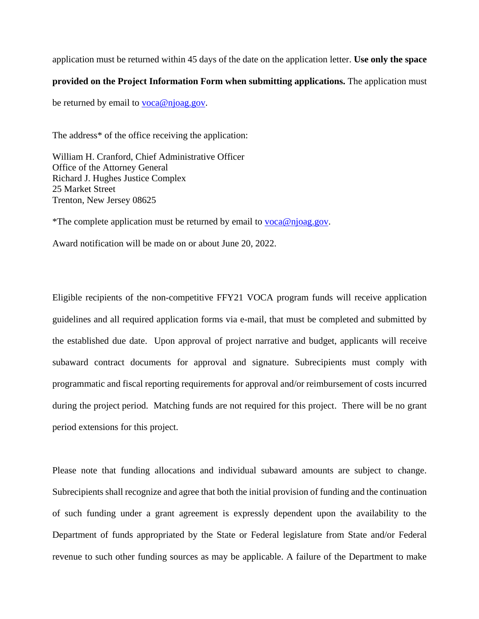application must be returned within 45 days of the date on the application letter. **Use only the space** 

## **provided on the Project Information Form when submitting applications.** The application must

be returned by email to **voca@njoag.gov**.

The address\* of the office receiving the application:

William H. Cranford, Chief Administrative Officer Office of the Attorney General Richard J. Hughes Justice Complex 25 Market Street Trenton, New Jersey 08625

\*The complete application must be returned by email to [voca@njoag.gov.](mailto:voca@njoag.gov)

Award notification will be made on or about June 20, 2022.

Eligible recipients of the non-competitive FFY21 VOCA program funds will receive application guidelines and all required application forms via e-mail, that must be completed and submitted by the established due date. Upon approval of project narrative and budget, applicants will receive subaward contract documents for approval and signature. Subrecipients must comply with programmatic and fiscal reporting requirements for approval and/or reimbursement of costs incurred during the project period. Matching funds are not required for this project. There will be no grant period extensions for this project.

Please note that funding allocations and individual subaward amounts are subject to change. Subrecipients shall recognize and agree that both the initial provision of funding and the continuation of such funding under a grant agreement is expressly dependent upon the availability to the Department of funds appropriated by the State or Federal legislature from State and/or Federal revenue to such other funding sources as may be applicable. A failure of the Department to make